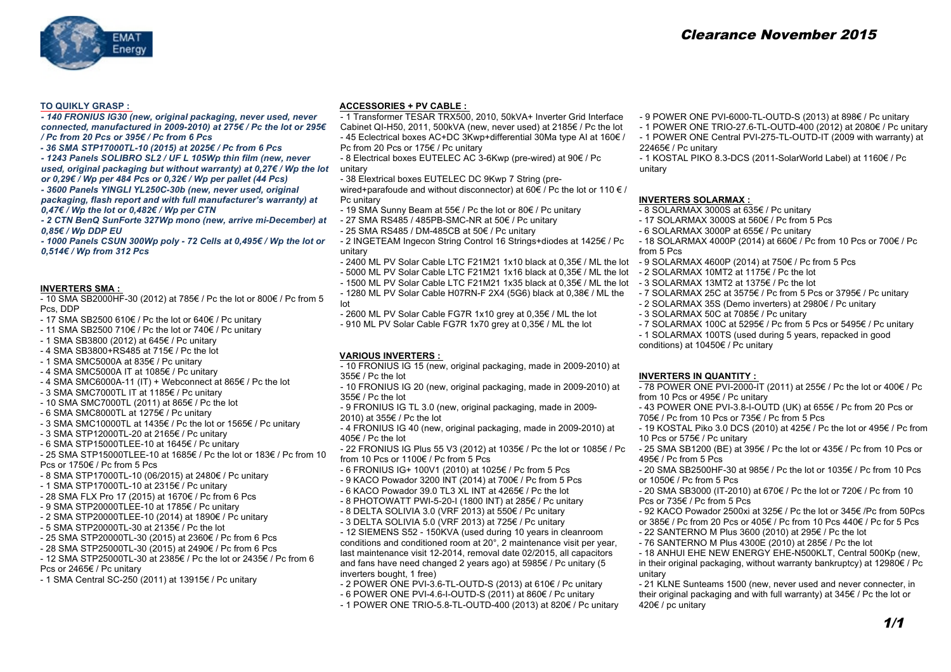

## **TO QUIKLY GRASP :**

*- 140 FRONIUS IG30 (new, original packaging, never used, never connected, manufactured in 2009-2010) at 275€ / Pc the lot or 295€ / Pc from 20 Pcs or 395€ / Pc from 6 Pcs*

*- 36 SMA STP17000TL-10 (2015) at 2025€ / Pc from 6 Pcs*

*- 1243 Panels SOLIBRO SL2 / UF L 105Wp thin film (new, never used, original packaging but without warranty) at 0,27€ / Wp the lot or 0,29€ / Wp per 484 Pcs or 0,32€ / Wp per pallet (44 Pcs) - 3600 Panels YINGLI YL250C-30b (new, never used, original packaging, flash report and with full manufacturer's warranty) at* 

*0,47€ / Wp the lot or 0,482€ / Wp per CTN - 2 CTN BenQ SunForte 327Wp mono (new, arrive mi-December) at 0,85€ / Wp DDP EU*

*- 1000 Panels CSUN 300Wp poly - 72 Cells at 0,495€ / Wp the lot or 0,514€ / Wp from 312 Pcs*

#### **INVERTERS SMA :**

- 10 SMA SB2000HF-30 (2012) at 785€ / Pc the lot or 800€ / Pc from 5 Pcs, DDP

- 17 SMA SB2500 610€ / Pc the lot or 640€ / Pc unitary
- 11 SMA SB2500 710€ / Pc the lot or 740€ / Pc unitary
- 1 SMA SB3800 (2012) at 645€ / Pc unitary
- 4 SMA SB3800+RS485 at 715€ / Pc the lot
- 1 SMA SMC5000A at 835€ / Pc unitary
- 4 SMA SMC5000A IT at 1085€ / Pc unitary
- 4 SMA SMC6000A-11 (IT) + Webconnect at  $865 \text{E}$  / Pc the lot
- 3 SMA SMC7000TL IT at 1185€ / Pc unitary
- 10 SMA SMC7000TL (2011) at 865€ / Pc the lot
- 6 SMA SMC8000TL at 1275€ / Pc unitary
- 3 SMA SMC10000TL at 1435€ / Pc the lot or 1565€ / Pc unitary
- 3 SMA STP12000TL-20 at 2165€ / Pc unitary
- 6 SMA STP15000TLEE-10 at 1645€ / Pc unitary
- 25 SMA STP15000TLEE-10 at 1685€ / Pc the lot or 183€ / Pc from 10 Pcs or 1750€ / Pc from 5 Pcs

- 8 SMA STP17000TL-10 (06/2015) at 2480€ / Pc unitary

- 1 SMA STP17000TL-10 at 2315€ / Pc unitary
- 28 SMA FLX Pro 17 (2015) at 1670€ / Pc from 6 Pcs
- 9 SMA STP20000TLEE-10 at 1785€ / Pc unitary
- 2 SMA STP20000TLEE-10 (2014) at 1890€ / Pc unitary
- 5 SMA STP20000TL-30 at 2135€ / Pc the lot
- 25 SMA STP20000TL-30 (2015) at 2360€ / Pc from 6 Pcs
- 28 SMA STP25000TL-30 (2015) at 2490€ / Pc from 6 Pcs
- 12 SMA STP25000TL-30 at 2385€ / Pc the lot or 2435€ / Pc from 6
- Pcs or 2465€ / Pc unitary
- 1 SMA Central SC-250 (2011) at 13915€ / Pc unitary

## **ACCESSORIES + PV CABLE :**

- 1 Transformer TESAR TRX500, 2010, 50kVA+ Inverter Grid Interface Cabinet QI-H50, 2011, 500kVA (new, never used) at 2185€ / Pc the lot - 45 Eclectrical boxes AC+DC 3Kwp+differential 30Ma type AI at 160€ / Pc from 20 Pcs or 175€ / Pc unitary
- 8 Electrical boxes EUTELEC AC 3-6Kwp (pre-wired) at 90€ / Pc unitary
- 38 Elextrical boxes EUTELEC DC 9Kwp 7 String (pre-
- wired+parafoude and without disconnector) at 60€ / Pc the lot or 110 € / Pc unitary
- 19 SMA Sunny Beam at 55€ / Pc the lot or 80€ / Pc unitary
- 27 SMA RS485 / 485PB-SMC-NR at 50€ / Pc unitary
- 25 SMA RS485 / DM-485CB at 50€ / Pc unitary
- 2 INGETEAM Ingecon String Control 16 Strings+diodes at 1425€ / Pc unitary
- 2400 ML PV Solar Cable LTC F21M21 1x10 black at 0,35€ / ML the lot 9 SOLARMAX 4600P (2014) at 750€ / Pc from 5 Pcs
- 5000 ML PV Solar Cable LTC F21M21 1x16 black at 0,35€ / ML the lot
- 1500 ML PV Solar Cable LTC F21M21 1x35 black at 0,35€ / ML the lot
- 1280 ML PV Solar Cable H07RN-F 2X4 (5G6) black at 0,38€ / ML the lot
- 2600 ML PV Solar Cable FG7R 1x10 grey at 0,35€ / ML the lot
- 910 ML PV Solar Cable FG7R 1x70 grey at 0,35€ / ML the lot

## **VARIOUS INVERTERS :**

- 10 FRONIUS IG 15 (new, original packaging, made in 2009-2010) at 355€ / Pc the lot
- 10 FRONIUS IG 20 (new, original packaging, made in 2009-2010) at 355€ / Pc the lot
- 9 FRONIUS IG TL 3.0 (new, original packaging, made in 2009-
- 2010) at 355€ / Pc the lot
- 4 FRONIUS IG 40 (new, original packaging, made in 2009-2010) at 405€ / Pc the lot
- 22 FRONIUS IG Plus 55 V3 (2012) at 1035€ / Pc the lot or 1085€ / Pc from 10 Pcs or 1100€ / Pc from 5 Pcs
- 6 FRONIUS IG+ 100V1 (2010) at 1025€ / Pc from 5 Pcs
- 9 KACO Powador 3200 INT (2014) at 700€ / Pc from 5 Pcs
- 6 KACO Powador 39.0 TL3 XL INT at 4265€ / Pc the lot
- 8 PHOTOWATT PWI-5-20-I (1800 INT) at 285€ / Pc unitary
- 8 DELTA SOLIVIA 3.0 (VRF 2013) at 550€ / Pc unitary
- 3 DELTA SOLIVIA 5.0 (VRF 2013) at 725€ / Pc unitary

- 12 SIEMENS S52 - 150KVA (used during 10 years in cleanroom conditions and conditioned room at 20°, 2 maintenance visit per year, last maintenance visit 12-2014, removal date 02/2015, all capacitors and fans have need changed 2 years ago) at 5985€ / Pc unitary (5 inverters bought, 1 free)

- 2 POWER ONE PVI-3.6-TL-OUTD-S (2013) at 610€ / Pc unitary
- 6 POWER ONE PVI-4.6-I-OUTD-S (2011) at 860€ / Pc unitary
- 1 POWER ONE TRIO-5.8-TL-OUTD-400 (2013) at 820€ / Pc unitary
- 9 POWER ONE PVI-6000-TL-OUTD-S (2013) at 898€ / Pc unitary
- 1 POWER ONE TRIO-27.6-TL-OUTD-400 (2012) at 2080€ / Pc unitary
- 1 POWER ONE Central PVI-275-TL-OUTD-IT (2009 with warranty) at 22465€ / Pc unitary

- 1 KOSTAL PIKO 8.3-DCS (2011-SolarWorld Label) at 1160€ / Pc unitary

### **INVERTERS SOLARMAX :**

- 8 SOLARMAX 3000S at 635€ / Pc unitary
- 17 SOLARMAX 3000S at 560€ / Pc from 5 Pcs
- 6 SOLARMAX 3000P at 655€ / Pc unitary
- 18 SOLARMAX 4000P (2014) at 660€ / Pc from 10 Pcs or 700€ / Pc from 5 Pcs
- 
- 2 SOLARMAX 10MT2 at 1175€ / Pc the lot
- 3 SOLARMAX 13MT2 at 1375€ / Pc the lot
- 7 SOLARMAX 25C at 3575€ / Pc from 5 Pcs or 3795€ / Pc unitary
- 2 SOLARMAX 35S (Demo inverters) at 2980€ / Pc unitary
- 3 SOLARMAX 50C at 7085€ / Pc unitary
- 7 SOLARMAX 100C at 5295€ / Pc from 5 Pcs or 5495€ / Pc unitary
- 1 SOLARMAX 100TS (used during 5 years, repacked in good

conditions) at 10450€ / Pc unitary

## **INVERTERS IN QUANTITY :**

- 78 POWER ONE PVI-2000-IT (2011) at 255€ / Pc the lot or 400€ / Pc from 10 Pcs or 495€ / Pc unitary
- 43 POWER ONE PVI-3.8-I-OUTD (UK) at 655€ / Pc from 20 Pcs or 705€ / Pc from 10 Pcs or 735€ / Pc from 5 Pcs
- 19 KOSTAL Piko 3.0 DCS (2010) at 425€ / Pc the lot or 495€ / Pc from 10 Pcs or 575€ / Pc unitary
- 25 SMA SB1200 (BE) at 395€ / Pc the lot or 435€ / Pc from 10 Pcs or 495€ / Pc from 5 Pcs
- 20 SMA SB2500HF-30 at 985€ / Pc the lot or 1035€ / Pc from 10 Pcs or 1050€ / Pc from 5 Pcs
- 20 SMA SB3000 (IT-2010) at 670€ / Pc the lot or 720€ / Pc from 10 Pcs or 735€ / Pc from 5 Pcs
- 92 KACO Powador 2500xi at 325€ / Pc the lot or 345€ /Pc from 50Pcs or 385€ / Pc from 20 Pcs or 405€ / Pc from 10 Pcs 440€ / Pc for 5 Pcs - 22 SANTERNO M Plus 3600 (2010) at 295€ / Pc the lot
- 76 SANTERNO M Plus 4300E (2010) at 285€ / Pc the lot
- 

- 18 ANHUI EHE NEW ENERGY EHE-N500KLT, Central 500Kp (new, in their original packaging, without warranty bankruptcy) at 12980€ / Pc unitary

- 21 KLNE Sunteams 1500 (new, never used and never connecter, in their original packaging and with full warranty) at 345€ / Pc the lot or 420€ / pc unitary